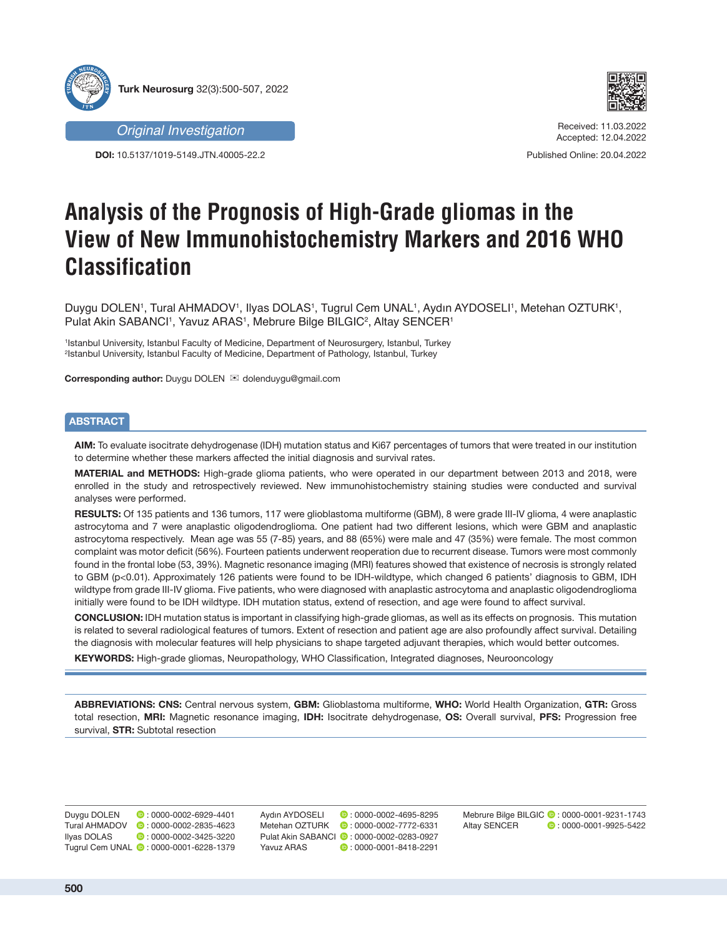





Received: 11.03.2022 Accepted: 12.04.2022

Published Online: 20.04.2022

# **Analysis of the Prognosis of High-Grade gliomas in the View of New Immunohistochemistry Markers and 2016 WHO Classification**

Duygu DOLEN', Tural AHMADOV', Ilyas DOLAS', Tugrul Cem UNAL', Aydın AYDOSELI', Metehan OZTURK', Pulat Akin SABANCI1, Yavuz ARAS1, Mebrure Bilge BILGIC<sup>2</sup>, Altay SENCER1

1 Istanbul University, Istanbul Faculty of Medicine, Department of Neurosurgery, Istanbul, Turkey 2 Istanbul University, Istanbul Faculty of Medicine, Department of Pathology, Istanbul, Turkey

**Corresponding author:** Duygu DOLEN  $\mathbb{Z}$  dolenduygu@gmail.com

## **ABSTRACT**

**AIM:** To evaluate isocitrate dehydrogenase (IDH) mutation status and Ki67 percentages of tumors that were treated in our institution to determine whether these markers affected the initial diagnosis and survival rates.

**MATERIAL and METHODS:** High-grade glioma patients, who were operated in our department between 2013 and 2018, were enrolled in the study and retrospectively reviewed. New immunohistochemistry staining studies were conducted and survival analyses were performed.

**RESULTS:** Of 135 patients and 136 tumors, 117 were glioblastoma multiforme (GBM), 8 were grade III-IV glioma, 4 were anaplastic astrocytoma and 7 were anaplastic oligodendroglioma. One patient had two different lesions, which were GBM and anaplastic astrocytoma respectively. Mean age was 55 (7-85) years, and 88 (65%) were male and 47 (35%) were female. The most common complaint was motor deficit (56%). Fourteen patients underwent reoperation due to recurrent disease. Tumors were most commonly found in the frontal lobe (53, 39%). Magnetic resonance imaging (MRI) features showed that existence of necrosis is strongly related to GBM (p<0.01). Approximately 126 patients were found to be IDH-wildtype, which changed 6 patients' diagnosis to GBM, IDH wildtype from grade III-IV glioma. Five patients, who were diagnosed with anaplastic astrocytoma and anaplastic oligodendroglioma initially were found to be IDH wildtype. IDH mutation status, extend of resection, and age were found to affect survival.

**CONCLUSION:** IDH mutation status is important in classifying high-grade gliomas, as well as its effects on prognosis. This mutation is related to several radiological features of tumors. Extent of resection and patient age are also profoundly affect survival. Detailing the diagnosis with molecular features will help physicians to shape targeted adjuvant therapies, which would better outcomes.

**KEYWORDS:** High-grade gliomas, Neuropathology, WHO Classification, Integrated diagnoses, Neurooncology

**ABBREVIATIONS: CNS:** Central nervous system, **GBM:** Glioblastoma multiforme, **WHO:** World Health Organization, **GTR:** Gross total resection, **MRI:** Magnetic resonance imaging, **IDH:** Isocitrate dehydrogenase, **OS:** Overall survival, **PFS:** Progression free survival, **STR:** Subtotal resection

Duygu DOLEN **b**: 0000-0002-6929-4401 Tural AHMADOV **0** : 0000-0002-2835-4623<br>Ilyas DOLAS **0** : 0000-0002-3425-3220  $\bullet$  : 0000-0002-3425-3220 Tugrul Cem UNAL **0**: 0000-0001-6228-1379

Aydın AYDOSELI **:** 0000-0002-4695-8295 Metehan OZTURK **: 0000-0002-7772-6331** Pulat Akin SABANCI **:** 0000-0002-0283-0927 Yavuz ARAS **:** 0000-0001-8418-2291

Mebrure Bilge BILGIC **:** 0000-0001-9231-1743 Altay SENCER **:** 0000-0001-9925-5422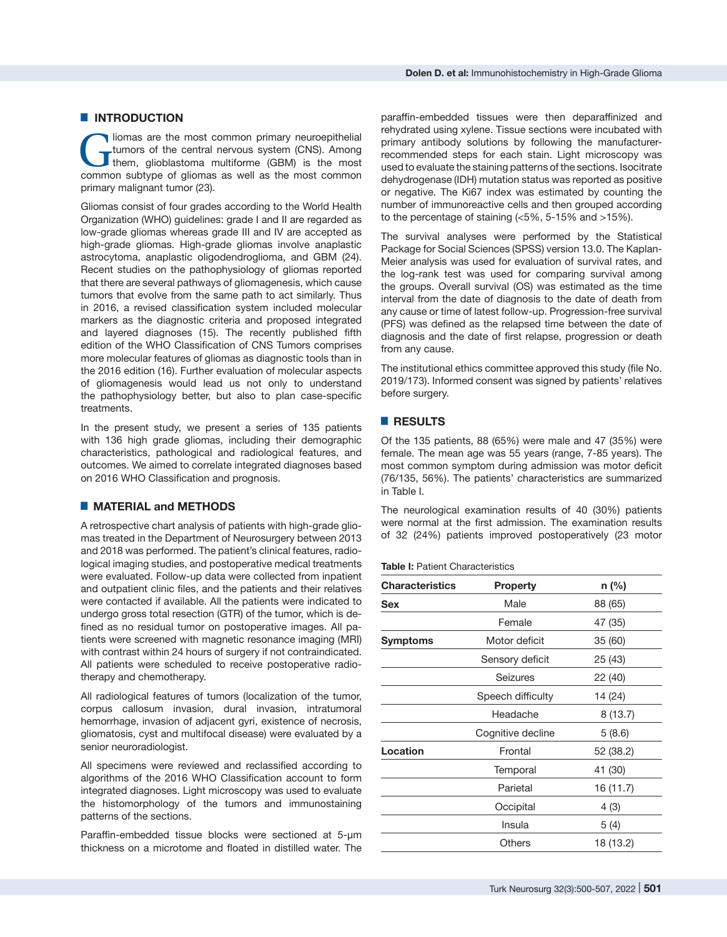#### $\blacksquare$  **INTRODUCTION**

**Commons** are the most common primary neuroepithelial tumors of the central nervous system (CNS). Among them, glioblastoma multiforme (GBM) is the most common subtime of clience as well as the most common tumors of the central nervous system (CNS). Among common subtype of gliomas as well as the most common primary malignant tumor (23).

Gliomas consist of four grades according to the World Health Organization (WHO) guidelines: grade I and II are regarded as low-grade gliomas whereas grade III and IV are accepted as high-grade gliomas. High-grade gliomas involve anaplastic astrocytoma, anaplastic oligodendroglioma, and GBM (24). Recent studies on the pathophysiology of gliomas reported that there are several pathways of gliomagenesis, which cause tumors that evolve from the same path to act similarly. Thus in 2016, a revised classification system included molecular markers as the diagnostic criteria and proposed integrated and layered diagnoses (15). The recently published fifth edition of the WHO Classification of CNS Tumors comprises more molecular features of gliomas as diagnostic tools than in the 2016 edition (16). Further evaluation of molecular aspects of gliomagenesis would lead us not only to understand the pathophysiology better, but also to plan case-specific treatments.

In the present study, we present a series of 135 patients with 136 high grade gliomas, including their demographic characteristics, pathological and radiological features, and outcomes. We aimed to correlate integrated diagnoses based on 2016 WHO Classification and prognosis.

#### █ **MATERIAL and METHODS**

A retrospective chart analysis of patients with high-grade gliomas treated in the Department of Neurosurgery between 2013 and 2018 was performed. The patient's clinical features, radiological imaging studies, and postoperative medical treatments were evaluated. Follow-up data were collected from inpatient and outpatient clinic files, and the patients and their relatives were contacted if available. All the patients were indicated to undergo gross total resection (GTR) of the tumor, which is defined as no residual tumor on postoperative images. All patients were screened with magnetic resonance imaging (MRI) with contrast within 24 hours of surgery if not contraindicated. All patients were scheduled to receive postoperative radiotherapy and chemotherapy.

All radiological features of tumors (localization of the tumor, corpus callosum invasion, dural invasion, intratumoral hemorrhage, invasion of adjacent gyri, existence of necrosis, gliomatosis, cyst and multifocal disease) were evaluated by a senior neuroradiologist.

All specimens were reviewed and reclassified according to algorithms of the 2016 WHO Classification account to form integrated diagnoses. Light microscopy was used to evaluate the histomorphology of the tumors and immunostaining patterns of the sections.

Paraffin-embedded tissue blocks were sectioned at 5-µm thickness on a microtome and floated in distilled water. The

paraffin-embedded tissues were then deparaffinized and rehydrated using xylene. Tissue sections were incubated with primary antibody solutions by following the manufacturerrecommended steps for each stain. Light microscopy was used to evaluate the staining patterns of the sections. Isocitrate dehydrogenase (IDH) mutation status was reported as positive or negative. The Ki67 index was estimated by counting the number of immunoreactive cells and then grouped according to the percentage of staining (<5%, 5-15% and >15%).

The survival analyses were performed by the Statistical Package for Social Sciences (SPSS) version 13.0. The Kaplan-Meier analysis was used for evaluation of survival rates, and the log-rank test was used for comparing survival among the groups. Overall survival (OS) was estimated as the time interval from the date of diagnosis to the date of death from any cause or time of latest follow-up. Progression-free survival (PFS) was defined as the relapsed time between the date of diagnosis and the date of first relapse, progression or death from any cause.

The institutional ethics committee approved this study (file No. 2019/173). Informed consent was signed by patients' relatives before surgery.

#### █ **RESULTS**

Of the 135 patients, 88 (65%) were male and 47 (35%) were female. The mean age was 55 years (range, 7-85 years). The most common symptom during admission was motor deficit (76/135, 56%). The patients' characteristics are summarized in Table I.

The neurological examination results of 40 (30%) patients were normal at the first admission. The examination results of 32 (24%) patients improved postoperatively (23 motor

#### **Table I:** Patient Characteristics

| <b>Characteristics</b> | <b>Property</b>   | $n$ (%)   |  |
|------------------------|-------------------|-----------|--|
| Sex                    | Male              | 88 (65)   |  |
|                        | Female            | 47 (35)   |  |
| Symptoms               | Motor deficit     | 35 (60)   |  |
|                        | Sensory deficit   | 25 (43)   |  |
|                        | Seizures          | 22 (40)   |  |
|                        | Speech difficulty | 14 (24)   |  |
|                        | Headache          | 8(13.7)   |  |
|                        | Cognitive decline | 5(8.6)    |  |
| Location               | Frontal           | 52 (38.2) |  |
|                        | Temporal          | 41 (30)   |  |
|                        | Parietal          | 16 (11.7) |  |
|                        | Occipital         | 4(3)      |  |
|                        | Insula            | 5(4)      |  |
|                        | <b>Others</b>     | 18 (13.2) |  |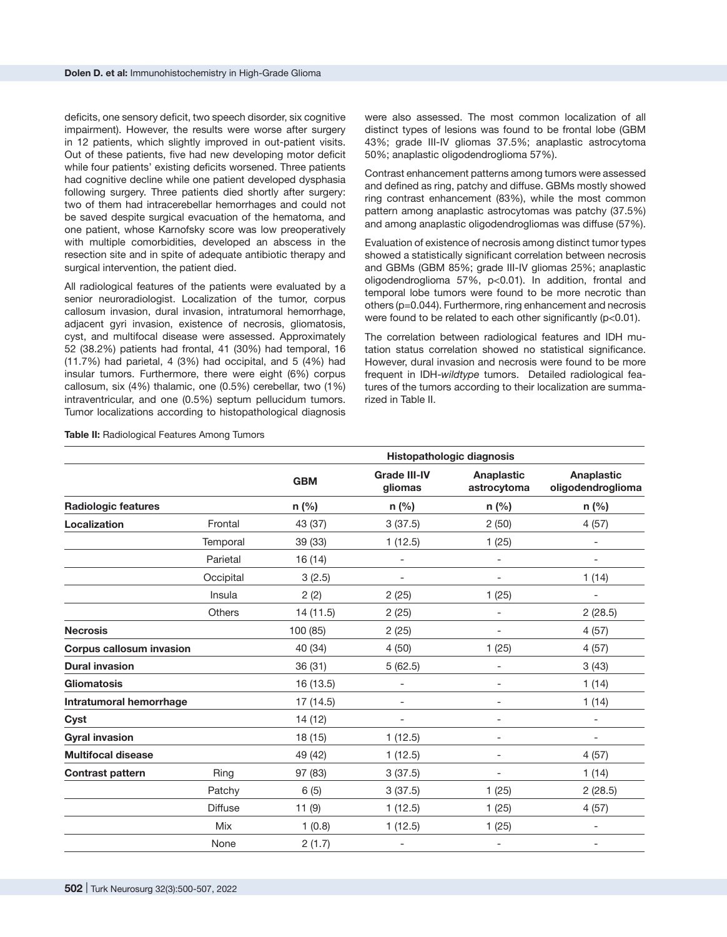deficits, one sensory deficit, two speech disorder, six cognitive impairment). However, the results were worse after surgery in 12 patients, which slightly improved in out-patient visits. Out of these patients, five had new developing motor deficit while four patients' existing deficits worsened. Three patients had cognitive decline while one patient developed dysphasia following surgery. Three patients died shortly after surgery: two of them had intracerebellar hemorrhages and could not be saved despite surgical evacuation of the hematoma, and one patient, whose Karnofsky score was low preoperatively with multiple comorbidities, developed an abscess in the resection site and in spite of adequate antibiotic therapy and surgical intervention, the patient died.

All radiological features of the patients were evaluated by a senior neuroradiologist. Localization of the tumor, corpus callosum invasion, dural invasion, intratumoral hemorrhage, adjacent gyri invasion, existence of necrosis, gliomatosis, cyst, and multifocal disease were assessed. Approximately 52 (38.2%) patients had frontal, 41 (30%) had temporal, 16 (11.7%) had parietal, 4 (3%) had occipital, and 5 (4%) had insular tumors. Furthermore, there were eight (6%) corpus callosum, six (4%) thalamic, one (0.5%) cerebellar, two (1%) intraventricular, and one (0.5%) septum pellucidum tumors. Tumor localizations according to histopathological diagnosis were also assessed. The most common localization of all distinct types of lesions was found to be frontal lobe (GBM 43%; grade III-IV gliomas 37.5%; anaplastic astrocytoma 50%; anaplastic oligodendroglioma 57%).

Contrast enhancement patterns among tumors were assessed and defined as ring, patchy and diffuse. GBMs mostly showed ring contrast enhancement (83%), while the most common pattern among anaplastic astrocytomas was patchy (37.5%) and among anaplastic oligodendrogliomas was diffuse (57%).

Evaluation of existence of necrosis among distinct tumor types showed a statistically significant correlation between necrosis and GBMs (GBM 85%; grade III-IV gliomas 25%; anaplastic oligodendroglioma 57%, p<0.01). In addition, frontal and temporal lobe tumors were found to be more necrotic than others (p=0.044). Furthermore, ring enhancement and necrosis were found to be related to each other significantly (p<0.01).

The correlation between radiological features and IDH mutation status correlation showed no statistical significance. However, dural invasion and necrosis were found to be more frequent in IDH-*wildtype* tumors. Detailed radiological features of the tumors according to their localization are summarized in Table II.

|                                 |                | Histopathologic diagnosis |                                |                           |                                        |
|---------------------------------|----------------|---------------------------|--------------------------------|---------------------------|----------------------------------------|
|                                 |                | <b>GBM</b>                | <b>Grade III-IV</b><br>gliomas | Anaplastic<br>astrocytoma | <b>Anaplastic</b><br>oligodendroglioma |
| <b>Radiologic features</b>      |                | $n$ (%)                   | $n$ (%)                        | n (%)                     | $n$ (%)                                |
| Localization                    | Frontal        | 43 (37)                   | 3(37.5)                        | 2(50)                     | 4(57)                                  |
|                                 | Temporal       | 39 (33)                   | 1(12.5)                        | 1(25)                     | $\overline{\phantom{a}}$               |
|                                 | Parietal       | 16 (14)                   | $\overline{\phantom{0}}$       | $\overline{\phantom{0}}$  | $\overline{\phantom{a}}$               |
|                                 | Occipital      | 3(2.5)                    |                                |                           | 1(14)                                  |
|                                 | Insula         | 2(2)                      | 2(25)                          | 1(25)                     |                                        |
|                                 | <b>Others</b>  | 14 (11.5)                 | 2(25)                          | $\overline{\phantom{0}}$  | 2(28.5)                                |
| <b>Necrosis</b>                 |                | 100 (85)                  | 2(25)                          |                           | 4(57)                                  |
| <b>Corpus callosum invasion</b> |                | 40 (34)                   | 4(50)                          | 1(25)                     | 4(57)                                  |
| <b>Dural invasion</b>           |                | 36 (31)                   | 5(62.5)                        | $\overline{\phantom{0}}$  | 3(43)                                  |
| <b>Gliomatosis</b>              |                | 16 (13.5)                 |                                |                           | 1(14)                                  |
| Intratumoral hemorrhage         |                | 17 (14.5)                 |                                |                           | 1(14)                                  |
| Cyst                            |                | 14 (12)                   | $\overline{\phantom{0}}$       | $\overline{\phantom{0}}$  | $\overline{\phantom{a}}$               |
| <b>Gyral invasion</b>           |                | 18 (15)                   | 1(12.5)                        | $\overline{\phantom{0}}$  | $\overline{\phantom{a}}$               |
| <b>Multifocal disease</b>       |                | 49 (42)                   | 1(12.5)                        |                           | 4(57)                                  |
| <b>Contrast pattern</b>         | Ring           | 97 (83)                   | 3(37.5)                        | $\overline{\phantom{0}}$  | 1(14)                                  |
|                                 | Patchy         | 6(5)                      | 3(37.5)                        | 1(25)                     | 2(28.5)                                |
|                                 | <b>Diffuse</b> | 11(9)                     | 1(12.5)                        | 1(25)                     | 4(57)                                  |
|                                 | Mix            | 1(0.8)                    | 1(12.5)                        | 1(25)                     | $\overline{\phantom{a}}$               |
|                                 | None           | 2(1.7)                    | $\overline{\phantom{0}}$       | $\overline{\phantom{a}}$  | $\overline{\phantom{a}}$               |

**Table II:** Radiological Features Among Tumors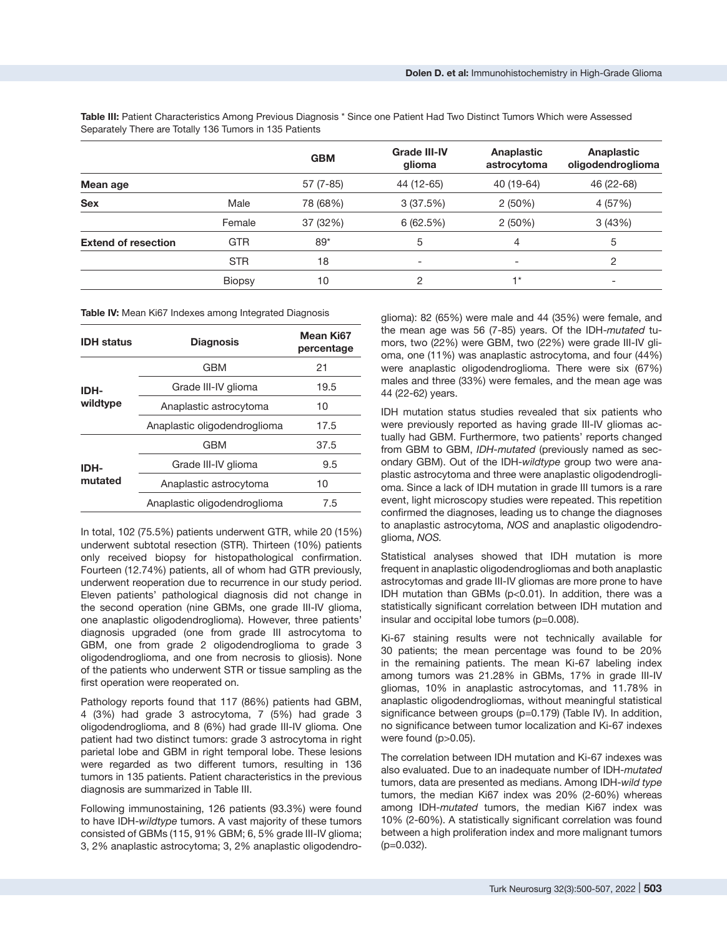|                            |               | <b>GBM</b> | <b>Grade III-IV</b><br>glioma | Anaplastic<br>astrocytoma | Anaplastic<br>oligodendroglioma |
|----------------------------|---------------|------------|-------------------------------|---------------------------|---------------------------------|
| Mean age                   |               | $57(7-85)$ | 44 (12-65)                    | 40 (19-64)                | 46 (22-68)                      |
| <b>Sex</b>                 | Male          | 78 (68%)   | 3(37.5%)                      | 2(50%)                    | 4 (57%)                         |
|                            | Female        | 37 (32%)   | 6(62.5%)                      | 2(50%)                    | 3(43%)                          |
| <b>Extend of resection</b> | <b>GTR</b>    | $89*$      | 5                             | $\overline{4}$            | 5                               |
|                            | <b>STR</b>    | 18         | $\overline{\phantom{a}}$      |                           | 2                               |
|                            | <b>Biopsy</b> | 10         | 2                             | $+*$                      | $\overline{\phantom{0}}$        |

**Table III:** Patient Characteristics Among Previous Diagnosis \* Since one Patient Had Two Distinct Tumors Which were Assessed Separately There are Totally 136 Tumors in 135 Patients

**Table IV:** Mean Ki67 Indexes among Integrated Diagnosis

| <b>IDH</b> status | <b>Diagnosis</b>             | Mean Ki67<br>percentage |
|-------------------|------------------------------|-------------------------|
| IDH-<br>wildtype  | GBM                          | 21                      |
|                   | Grade III-IV glioma          | 19.5                    |
|                   | Anaplastic astrocytoma       | 10                      |
|                   | Anaplastic oligodendroglioma | 17.5                    |
| IDH-<br>mutated   | GBM                          | 37.5                    |
|                   | Grade III-IV glioma          | 9.5                     |
|                   | Anaplastic astrocytoma       | 10                      |
|                   | Anaplastic oligodendroglioma | 7.5                     |
|                   |                              |                         |

In total, 102 (75.5%) patients underwent GTR, while 20 (15%) underwent subtotal resection (STR). Thirteen (10%) patients only received biopsy for histopathological confirmation. Fourteen (12.74%) patients, all of whom had GTR previously, underwent reoperation due to recurrence in our study period. Eleven patients' pathological diagnosis did not change in the second operation (nine GBMs, one grade III-IV glioma, one anaplastic oligodendroglioma). However, three patients' diagnosis upgraded (one from grade III astrocytoma to GBM, one from grade 2 oligodendroglioma to grade 3 oligodendroglioma, and one from necrosis to gliosis). None of the patients who underwent STR or tissue sampling as the first operation were reoperated on.

Pathology reports found that 117 (86%) patients had GBM, 4 (3%) had grade 3 astrocytoma, 7 (5%) had grade 3 oligodendroglioma, and 8 (6%) had grade III-IV glioma. One patient had two distinct tumors: grade 3 astrocytoma in right parietal lobe and GBM in right temporal lobe. These lesions were regarded as two different tumors, resulting in 136 tumors in 135 patients. Patient characteristics in the previous diagnosis are summarized in Table III.

Following immunostaining, 126 patients (93.3%) were found to have IDH-*wildtype* tumors. A vast majority of these tumors consisted of GBMs (115, 91% GBM; 6, 5% grade III-IV glioma; 3, 2% anaplastic astrocytoma; 3, 2% anaplastic oligodendro-

glioma): 82 (65%) were male and 44 (35%) were female, and the mean age was 56 (7-85) years. Of the IDH-*mutated* tumors, two (22%) were GBM, two (22%) were grade III-IV glioma, one (11%) was anaplastic astrocytoma, and four (44%) were anaplastic oligodendroglioma. There were six (67%) males and three (33%) were females, and the mean age was 44 (22-62) years.

IDH mutation status studies revealed that six patients who were previously reported as having grade III-IV gliomas actually had GBM. Furthermore, two patients' reports changed from GBM to GBM, *IDH-mutated* (previously named as secondary GBM). Out of the IDH-*wildtype* group two were anaplastic astrocytoma and three were anaplastic oligodendroglioma. Since a lack of IDH mutation in grade III tumors is a rare event, light microscopy studies were repeated. This repetition confirmed the diagnoses, leading us to change the diagnoses to anaplastic astrocytoma, *NOS* and anaplastic oligodendroglioma, *NOS.*

Statistical analyses showed that IDH mutation is more frequent in anaplastic oligodendrogliomas and both anaplastic astrocytomas and grade III-IV gliomas are more prone to have IDH mutation than GBMs (p<0.01). In addition, there was a statistically significant correlation between IDH mutation and insular and occipital lobe tumors (p=0.008).

Ki-67 staining results were not technically available for 30 patients; the mean percentage was found to be 20% in the remaining patients. The mean Ki-67 labeling index among tumors was 21.28% in GBMs, 17% in grade III-IV gliomas, 10% in anaplastic astrocytomas, and 11.78% in anaplastic oligodendrogliomas, without meaningful statistical significance between groups (p=0.179) (Table IV). In addition, no significance between tumor localization and Ki-67 indexes were found (p>0.05).

The correlation between IDH mutation and Ki-67 indexes was also evaluated. Due to an inadequate number of IDH-*mutated*  tumors, data are presented as medians. Among IDH-*wild type* tumors, the median Ki67 index was 20% (2-60%) whereas among IDH-*mutated* tumors, the median Ki67 index was 10% (2-60%). A statistically significant correlation was found between a high proliferation index and more malignant tumors (p=0.032).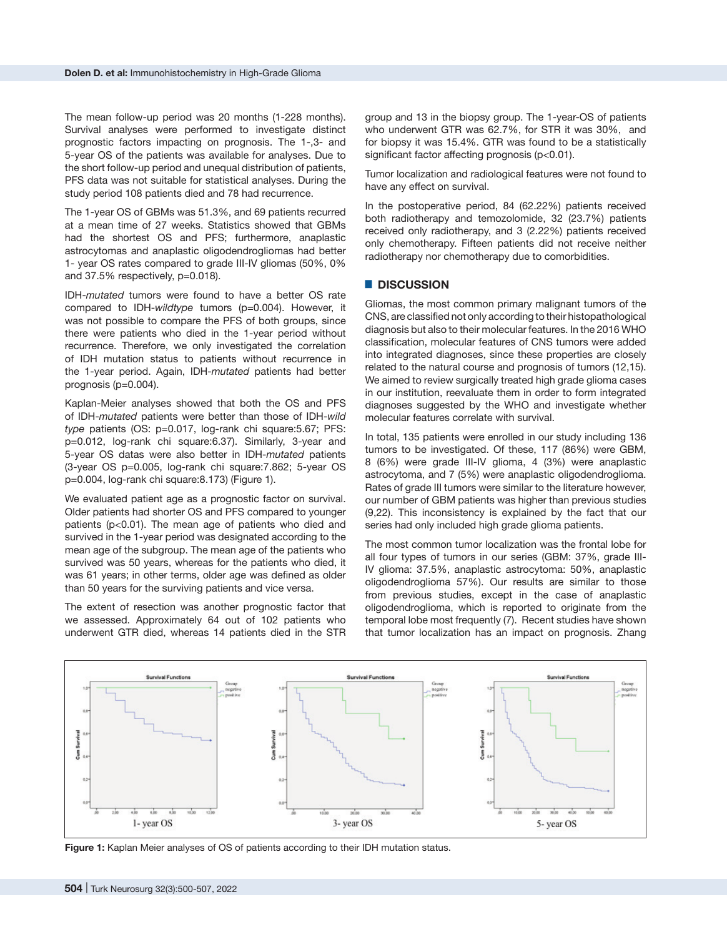The mean follow-up period was 20 months (1-228 months). Survival analyses were performed to investigate distinct prognostic factors impacting on prognosis. The 1-,3- and 5-year OS of the patients was available for analyses. Due to the short follow-up period and unequal distribution of patients, PFS data was not suitable for statistical analyses. During the study period 108 patients died and 78 had recurrence.

The 1-year OS of GBMs was 51.3%, and 69 patients recurred at a mean time of 27 weeks. Statistics showed that GBMs had the shortest OS and PFS; furthermore, anaplastic astrocytomas and anaplastic oligodendrogliomas had better 1- year OS rates compared to grade III-IV gliomas (50%, 0% and 37.5% respectively, p=0.018).

IDH-*mutated* tumors were found to have a better OS rate compared to IDH-*wildtype* tumors (p=0.004). However, it was not possible to compare the PFS of both groups, since there were patients who died in the 1-year period without recurrence. Therefore, we only investigated the correlation of IDH mutation status to patients without recurrence in the 1-year period. Again, IDH-*mutated* patients had better prognosis (p=0.004).

Kaplan-Meier analyses showed that both the OS and PFS of IDH-*mutated* patients were better than those of IDH-*wild type* patients (OS: p=0.017, log-rank chi square:5.67; PFS: p=0.012, log-rank chi square:6.37). Similarly, 3-year and 5-year OS datas were also better in IDH-*mutated* patients (3-year OS p=0.005, log-rank chi square:7.862; 5-year OS p=0.004, log-rank chi square:8.173) (Figure 1).

We evaluated patient age as a prognostic factor on survival. Older patients had shorter OS and PFS compared to younger patients (p<0.01). The mean age of patients who died and survived in the 1-year period was designated according to the mean age of the subgroup. The mean age of the patients who survived was 50 years, whereas for the patients who died, it was 61 years; in other terms, older age was defined as older than 50 years for the surviving patients and vice versa.

The extent of resection was another prognostic factor that we assessed. Approximately 64 out of 102 patients who underwent GTR died, whereas 14 patients died in the STR group and 13 in the biopsy group. The 1-year-OS of patients who underwent GTR was 62.7%, for STR it was 30%, and for biopsy it was 15.4%. GTR was found to be a statistically significant factor affecting prognosis (p<0.01).

Tumor localization and radiological features were not found to have any effect on survival.

In the postoperative period, 84 (62.22%) patients received both radiotherapy and temozolomide, 32 (23.7%) patients received only radiotherapy, and 3 (2.22%) patients received only chemotherapy. Fifteen patients did not receive neither radiotherapy nor chemotherapy due to comorbidities.

#### █ **DISCUSSION**

Gliomas, the most common primary malignant tumors of the CNS, are classified not only according to their histopathological diagnosis but also to their molecular features. In the 2016 WHO classification, molecular features of CNS tumors were added into integrated diagnoses, since these properties are closely related to the natural course and prognosis of tumors (12,15). We aimed to review surgically treated high grade glioma cases in our institution, reevaluate them in order to form integrated diagnoses suggested by the WHO and investigate whether molecular features correlate with survival.

In total, 135 patients were enrolled in our study including 136 tumors to be investigated. Of these, 117 (86%) were GBM, 8 (6%) were grade III-IV glioma, 4 (3%) were anaplastic astrocytoma, and 7 (5%) were anaplastic oligodendroglioma. Rates of grade III tumors were similar to the literature however, our number of GBM patients was higher than previous studies (9,22). This inconsistency is explained by the fact that our series had only included high grade glioma patients.

The most common tumor localization was the frontal lobe for all four types of tumors in our series (GBM: 37%, grade III-IV glioma: 37.5%, anaplastic astrocytoma: 50%, anaplastic oligodendroglioma 57%). Our results are similar to those from previous studies, except in the case of anaplastic oligodendroglioma, which is reported to originate from the temporal lobe most frequently (7). Recent studies have shown that tumor localization has an impact on prognosis. Zhang



**Figure 1:** Kaplan Meier analyses of OS of patients according to their IDH mutation status.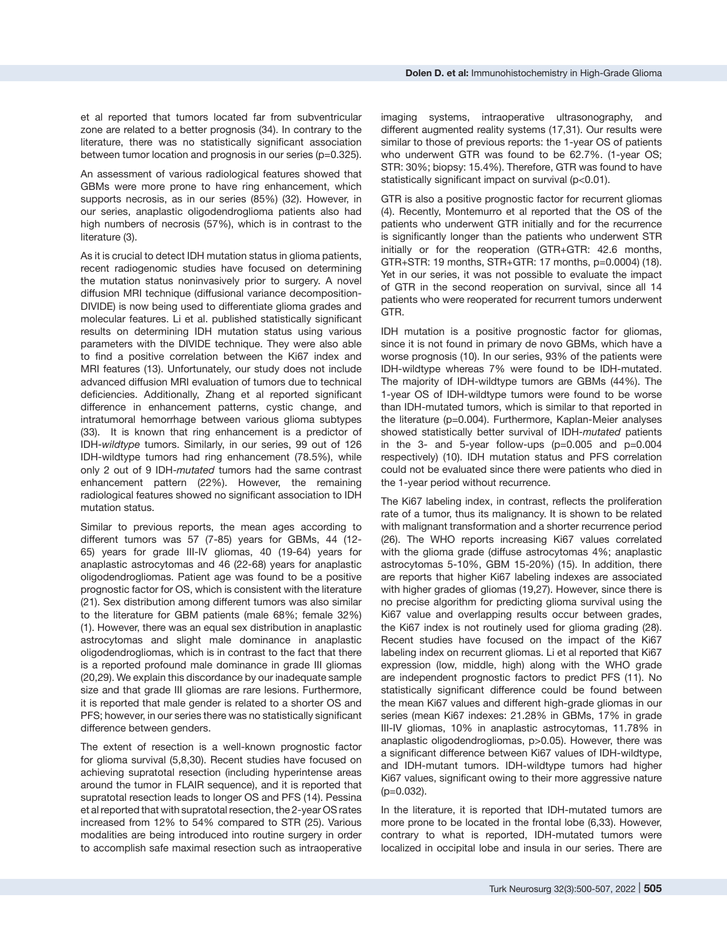An assessment of various radiological features showed that GBMs were more prone to have ring enhancement, which supports necrosis, as in our series (85%) (32). However, in our series, anaplastic oligodendroglioma patients also had high numbers of necrosis (57%), which is in contrast to the literature (3).

As it is crucial to detect IDH mutation status in glioma patients, recent radiogenomic studies have focused on determining the mutation status noninvasively prior to surgery. A novel diffusion MRI technique (diffusional variance decomposition-DIVIDE) is now being used to differentiate glioma grades and molecular features. Li et al. published statistically significant results on determining IDH mutation status using various parameters with the DIVIDE technique. They were also able to find a positive correlation between the Ki67 index and MRI features (13). Unfortunately, our study does not include advanced diffusion MRI evaluation of tumors due to technical deficiencies. Additionally, Zhang et al reported significant difference in enhancement patterns, cystic change, and intratumoral hemorrhage between various glioma subtypes (33). It is known that ring enhancement is a predictor of IDH-*wildtype* tumors. Similarly, in our series, 99 out of 126 IDH-wildtype tumors had ring enhancement (78.5%), while only 2 out of 9 IDH-*mutated* tumors had the same contrast enhancement pattern (22%). However, the remaining radiological features showed no significant association to IDH mutation status.

Similar to previous reports, the mean ages according to different tumors was 57 (7-85) years for GBMs, 44 (12- 65) years for grade III-IV gliomas, 40 (19-64) years for anaplastic astrocytomas and 46 (22-68) years for anaplastic oligodendrogliomas. Patient age was found to be a positive prognostic factor for OS, which is consistent with the literature (21). Sex distribution among different tumors was also similar to the literature for GBM patients (male 68%; female 32%) (1). However, there was an equal sex distribution in anaplastic astrocytomas and slight male dominance in anaplastic oligodendrogliomas, which is in contrast to the fact that there is a reported profound male dominance in grade III gliomas (20,29). We explain this discordance by our inadequate sample size and that grade III gliomas are rare lesions. Furthermore, it is reported that male gender is related to a shorter OS and PFS; however, in our series there was no statistically significant difference between genders.

The extent of resection is a well-known prognostic factor for glioma survival (5,8,30). Recent studies have focused on achieving supratotal resection (including hyperintense areas around the tumor in FLAIR sequence), and it is reported that supratotal resection leads to longer OS and PFS (14). Pessina et al reported that with supratotal resection, the 2-year OS rates increased from 12% to 54% compared to STR (25). Various modalities are being introduced into routine surgery in order to accomplish safe maximal resection such as intraoperative

GTR is also a positive prognostic factor for recurrent gliomas (4). Recently, Montemurro et al reported that the OS of the patients who underwent GTR initially and for the recurrence is significantly longer than the patients who underwent STR initially or for the reoperation (GTR+GTR: 42.6 months, GTR+STR: 19 months, STR+GTR: 17 months, p=0.0004) (18). Yet in our series, it was not possible to evaluate the impact of GTR in the second reoperation on survival, since all 14 patients who were reoperated for recurrent tumors underwent GTR.

IDH mutation is a positive prognostic factor for gliomas, since it is not found in primary de novo GBMs, which have a worse prognosis (10). In our series, 93% of the patients were IDH-wildtype whereas 7% were found to be IDH-mutated. The majority of IDH-wildtype tumors are GBMs (44%). The 1-year OS of IDH-wildtype tumors were found to be worse than IDH-mutated tumors, which is similar to that reported in the literature (p=0.004). Furthermore, Kaplan-Meier analyses showed statistically better survival of IDH-*mutated* patients in the 3- and 5-year follow-ups  $(p=0.005$  and  $p=0.004$ respectively) (10). IDH mutation status and PFS correlation could not be evaluated since there were patients who died in the 1-year period without recurrence.

The Ki67 labeling index, in contrast, reflects the proliferation rate of a tumor, thus its malignancy. It is shown to be related with malignant transformation and a shorter recurrence period (26). The WHO reports increasing Ki67 values correlated with the glioma grade (diffuse astrocytomas 4%; anaplastic astrocytomas 5-10%, GBM 15-20%) (15). In addition, there are reports that higher Ki67 labeling indexes are associated with higher grades of gliomas (19,27). However, since there is no precise algorithm for predicting glioma survival using the Ki67 value and overlapping results occur between grades, the Ki67 index is not routinely used for glioma grading (28). Recent studies have focused on the impact of the Ki67 labeling index on recurrent gliomas. Li et al reported that Ki67 expression (low, middle, high) along with the WHO grade are independent prognostic factors to predict PFS (11). No statistically significant difference could be found between the mean Ki67 values and different high-grade gliomas in our series (mean Ki67 indexes: 21.28% in GBMs, 17% in grade III-IV gliomas, 10% in anaplastic astrocytomas, 11.78% in anaplastic oligodendrogliomas, p>0.05). However, there was a significant difference between Ki67 values of IDH-wildtype, and IDH-mutant tumors. IDH-wildtype tumors had higher Ki67 values, significant owing to their more aggressive nature (p=0.032).

In the literature, it is reported that IDH-mutated tumors are more prone to be located in the frontal lobe (6,33). However, contrary to what is reported, IDH-mutated tumors were localized in occipital lobe and insula in our series. There are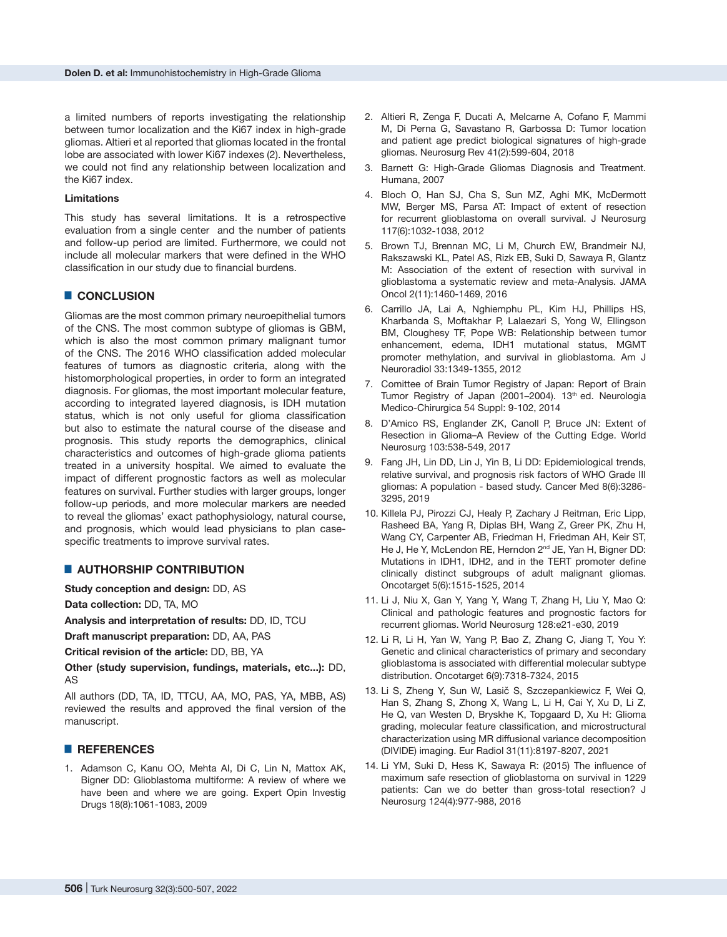a limited numbers of reports investigating the relationship between tumor localization and the Ki67 index in high-grade gliomas. Altieri et al reported that gliomas located in the frontal lobe are associated with lower Ki67 indexes (2). Nevertheless, we could not find any relationship between localization and the Ki67 index.

#### **Limitations**

This study has several limitations. It is a retrospective evaluation from a single center and the number of patients and follow-up period are limited. Furthermore, we could not include all molecular markers that were defined in the WHO classification in our study due to financial burdens.

## █ **CONCLUSION**

Gliomas are the most common primary neuroepithelial tumors of the CNS. The most common subtype of gliomas is GBM, which is also the most common primary malignant tumor of the CNS. The 2016 WHO classification added molecular features of tumors as diagnostic criteria, along with the histomorphological properties, in order to form an integrated diagnosis. For gliomas, the most important molecular feature, according to integrated layered diagnosis, is IDH mutation status, which is not only useful for glioma classification but also to estimate the natural course of the disease and prognosis. This study reports the demographics, clinical characteristics and outcomes of high-grade glioma patients treated in a university hospital. We aimed to evaluate the impact of different prognostic factors as well as molecular features on survival. Further studies with larger groups, longer follow-up periods, and more molecular markers are needed to reveal the gliomas' exact pathophysiology, natural course, and prognosis, which would lead physicians to plan casespecific treatments to improve survival rates.

#### █ **AUTHORSHIP CONTRIBUTION**

**Study conception and design:** DD, AS

**Data collection:** DD, TA, MO

**Analysis and interpretation of results:** DD, ID, TCU

**Draft manuscript preparation:** DD, AA, PAS

**Critical revision of the article:** DD, BB, YA

**Other (study supervision, fundings, materials, etc...):** DD, AS

All authors (DD, TA, ID, TTCU, AA, MO, PAS, YA, MBB, AS) reviewed the results and approved the final version of the manuscript.

#### █ **REFERENCES**

1. Adamson C, Kanu OO, Mehta AI, Di C, Lin N, Mattox AK, Bigner DD: Glioblastoma multiforme: A review of where we have been and where we are going. Expert Opin Investig Drugs 18(8):1061-1083, 2009

- 2. Altieri R, Zenga F, Ducati A, Melcarne A, Cofano F, Mammi M, Di Perna G, Savastano R, Garbossa D: Tumor location and patient age predict biological signatures of high-grade gliomas. Neurosurg Rev 41(2):599-604, 2018
- 3. Barnett G: High-Grade Gliomas Diagnosis and Treatment. Humana, 2007
- 4. Bloch O, Han SJ, Cha S, Sun MZ, Aghi MK, McDermott MW, Berger MS, Parsa AT: Impact of extent of resection for recurrent glioblastoma on overall survival. J Neurosurg 117(6):1032-1038, 2012
- 5. Brown TJ, Brennan MC, Li M, Church EW, Brandmeir NJ, Rakszawski KL, Patel AS, Rizk EB, Suki D, Sawaya R, Glantz M: Association of the extent of resection with survival in glioblastoma a systematic review and meta-Analysis. JAMA Oncol 2(11):1460-1469, 2016
- 6. Carrillo JA, Lai A, Nghiemphu PL, Kim HJ, Phillips HS, Kharbanda S, Moftakhar P, Lalaezari S, Yong W, Ellingson BM, Cloughesy TF, Pope WB: Relationship between tumor enhancement, edema, IDH1 mutational status, MGMT promoter methylation, and survival in glioblastoma. Am J Neuroradiol 33:1349-1355, 2012
- 7. Comittee of Brain Tumor Registry of Japan: Report of Brain Tumor Registry of Japan (2001–2004). 13<sup>th</sup> ed. Neurologia Medico-Chirurgica 54 Suppl: 9-102, 2014
- 8. D'Amico RS, Englander ZK, Canoll P, Bruce JN: Extent of Resection in Glioma–A Review of the Cutting Edge. World Neurosurg 103:538-549, 2017
- 9. Fang JH, Lin DD, Lin J, Yin B, Li DD: Epidemiological trends, relative survival, and prognosis risk factors of WHO Grade III gliomas: A population ‐ based study. Cancer Med 8(6):3286- 3295, 2019
- 10. Killela PJ, Pirozzi CJ, Healy P, Zachary J Reitman, Eric Lipp, Rasheed BA, Yang R, Diplas BH, Wang Z, Greer PK, Zhu H, Wang CY, Carpenter AB, Friedman H, Friedman AH, Keir ST, He J, He Y, McLendon RE, Herndon 2<sup>nd</sup> JE, Yan H, Bigner DD: Mutations in IDH1, IDH2, and in the TERT promoter define clinically distinct subgroups of adult malignant gliomas. Oncotarget 5(6):1515-1525, 2014
- 11. Li J, Niu X, Gan Y, Yang Y, Wang T, Zhang H, Liu Y, Mao Q: Clinical and pathologic features and prognostic factors for recurrent gliomas. World Neurosurg 128:e21-e30, 2019
- 12. Li R, Li H, Yan W, Yang P, Bao Z, Zhang C, Jiang T, You Y: Genetic and clinical characteristics of primary and secondary glioblastoma is associated with differential molecular subtype distribution. Oncotarget 6(9):7318-7324, 2015
- 13. Li S, Zheng Y, Sun W, Lasič S, Szczepankiewicz F, Wei Q, Han S, Zhang S, Zhong X, Wang L, Li H, Cai Y, Xu D, Li Z, He Q, van Westen D, Bryskhe K, Topgaard D, Xu H: Glioma grading, molecular feature classification, and microstructural characterization using MR diffusional variance decomposition (DIVIDE) imaging. Eur Radiol 31(11):8197-8207, 2021
- 14. Li YM, Suki D, Hess K, Sawaya R: (2015) The influence of maximum safe resection of glioblastoma on survival in 1229 patients: Can we do better than gross-total resection? J Neurosurg 124(4):977-988, 2016